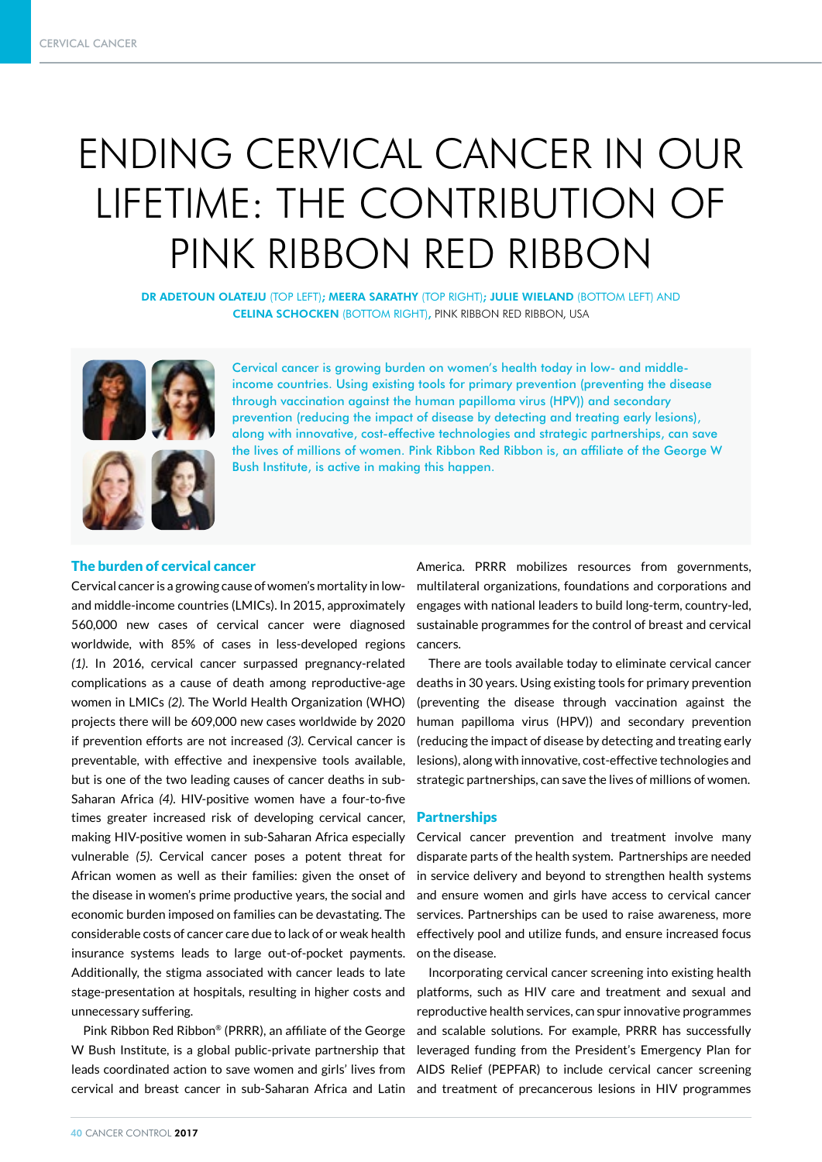# ENDING CERVICAL CANCER IN OUR LIFETIME: THE CONTRIBUTION OF PINK RIBBON RED RIBBON

DR ADETOUN OLATEJU (TOP LEFT); MEERA SARATHY (TOP RIGHT); JULIE WIELAND (BOTTOM LEFT) AND CELINA SCHOCKEN (BOTTOM RIGHT), PINK RIBBON RED RIBBON, USA





Cervical cancer is growing burden on women's health today in low- and middleincome countries. Using existing tools for primary prevention (preventing the disease through vaccination against the human papilloma virus (HPV)) and secondary prevention (reducing the impact of disease by detecting and treating early lesions), along with innovative, cost-effective technologies and strategic partnerships, can save the lives of millions of women. Pink Ribbon Red Ribbon is, an affiliate of the George W Bush Institute, is active in making this happen.

# The burden of cervical cancer

Cervical cancer is a growing cause of women's mortality in lowand middle-income countries (LMICs). In 2015, approximately 560,000 new cases of cervical cancer were diagnosed worldwide, with 85% of cases in less-developed regions *(1)*. In 2016, cervical cancer surpassed pregnancy-related complications as a cause of death among reproductive-age women in LMICs *(2)*. The World Health Organization (WHO) projects there will be 609,000 new cases worldwide by 2020 if prevention efforts are not increased *(3)*. Cervical cancer is preventable, with effective and inexpensive tools available, but is one of the two leading causes of cancer deaths in sub-Saharan Africa *(4)*. HIV-positive women have a four-to-five times greater increased risk of developing cervical cancer, making HIV-positive women in sub-Saharan Africa especially vulnerable *(5)*. Cervical cancer poses a potent threat for African women as well as their families: given the onset of the disease in women's prime productive years, the social and economic burden imposed on families can be devastating. The considerable costs of cancer care due to lack of or weak health insurance systems leads to large out-of-pocket payments. Additionally, the stigma associated with cancer leads to late stage-presentation at hospitals, resulting in higher costs and unnecessary suffering.

Pink Ribbon Red Ribbon® (PRRR), an affiliate of the George W Bush Institute, is a global public-private partnership that leads coordinated action to save women and girls' lives from cervical and breast cancer in sub-Saharan Africa and Latin and treatment of precancerous lesions in HIV programmes

America. PRRR mobilizes resources from governments, multilateral organizations, foundations and corporations and engages with national leaders to build long-term, country-led, sustainable programmes for the control of breast and cervical cancers.

There are tools available today to eliminate cervical cancer deaths in 30 years. Using existing tools for primary prevention (preventing the disease through vaccination against the human papilloma virus (HPV)) and secondary prevention (reducing the impact of disease by detecting and treating early lesions), along with innovative, cost-effective technologies and strategic partnerships, can save the lives of millions of women.

## **Partnerships**

Cervical cancer prevention and treatment involve many disparate parts of the health system. Partnerships are needed in service delivery and beyond to strengthen health systems and ensure women and girls have access to cervical cancer services. Partnerships can be used to raise awareness, more effectively pool and utilize funds, and ensure increased focus on the disease.

Incorporating cervical cancer screening into existing health platforms, such as HIV care and treatment and sexual and reproductive health services, can spur innovative programmes and scalable solutions. For example, PRRR has successfully leveraged funding from the President's Emergency Plan for AIDS Relief (PEPFAR) to include cervical cancer screening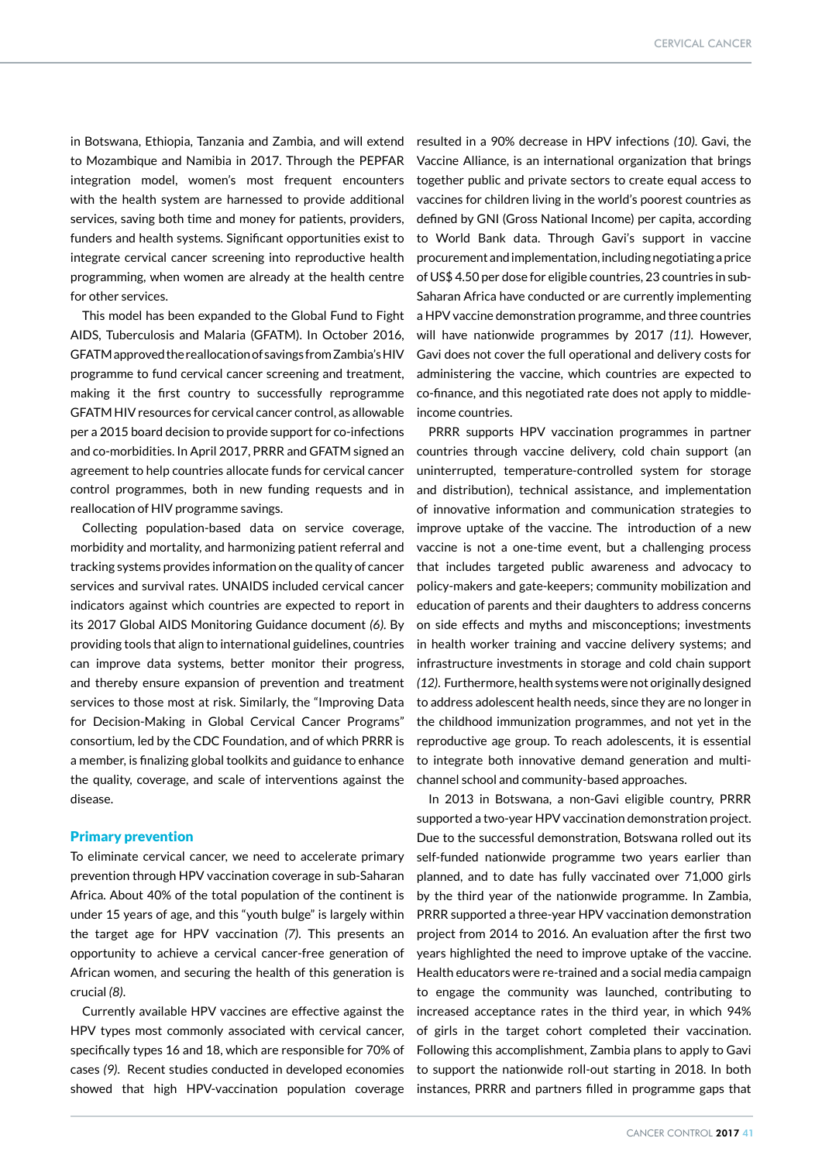in Botswana, Ethiopia, Tanzania and Zambia, and will extend to Mozambique and Namibia in 2017. Through the PEPFAR integration model, women's most frequent encounters with the health system are harnessed to provide additional services, saving both time and money for patients, providers, funders and health systems. Significant opportunities exist to integrate cervical cancer screening into reproductive health programming, when women are already at the health centre for other services.

This model has been expanded to the Global Fund to Fight AIDS, Tuberculosis and Malaria (GFATM). In October 2016, GFATM approved the reallocation of savings from Zambia's HIV programme to fund cervical cancer screening and treatment, making it the first country to successfully reprogramme GFATM HIV resources for cervical cancer control, as allowable per a 2015 board decision to provide support for co-infections and co-morbidities. In April 2017, PRRR and GFATM signed an agreement to help countries allocate funds for cervical cancer control programmes, both in new funding requests and in reallocation of HIV programme savings.

Collecting population-based data on service coverage, morbidity and mortality, and harmonizing patient referral and tracking systems provides information on the quality of cancer services and survival rates. UNAIDS included cervical cancer indicators against which countries are expected to report in its 2017 Global AIDS Monitoring Guidance document *(6)*. By providing tools that align to international guidelines, countries can improve data systems, better monitor their progress, and thereby ensure expansion of prevention and treatment services to those most at risk. Similarly, the "Improving Data for Decision-Making in Global Cervical Cancer Programs" consortium, led by the CDC Foundation, and of which PRRR is a member, is finalizing global toolkits and guidance to enhance the quality, coverage, and scale of interventions against the disease.

# Primary prevention

To eliminate cervical cancer, we need to accelerate primary prevention through HPV vaccination coverage in sub-Saharan Africa. About 40% of the total population of the continent is under 15 years of age, and this "youth bulge" is largely within the target age for HPV vaccination *(7)*. This presents an opportunity to achieve a cervical cancer-free generation of African women, and securing the health of this generation is crucial *(8)*.

Currently available HPV vaccines are effective against the HPV types most commonly associated with cervical cancer, specifically types 16 and 18, which are responsible for 70% of cases *(9)*. Recent studies conducted in developed economies showed that high HPV-vaccination population coverage

resulted in a 90% decrease in HPV infections *(10)*. Gavi, the Vaccine Alliance, is an international organization that brings together public and private sectors to create equal access to vaccines for children living in the world's poorest countries as defined by GNI (Gross National Income) per capita, according to World Bank data. Through Gavi's support in vaccine procurement and implementation, including negotiating a price of US\$ 4.50 per dose for eligible countries, 23 countries in sub-Saharan Africa have conducted or are currently implementing a HPV vaccine demonstration programme, and three countries will have nationwide programmes by 2017 *(11)*. However, Gavi does not cover the full operational and delivery costs for administering the vaccine, which countries are expected to co-finance, and this negotiated rate does not apply to middleincome countries.

PRRR supports HPV vaccination programmes in partner countries through vaccine delivery, cold chain support (an uninterrupted, temperature-controlled system for storage and distribution), technical assistance, and implementation of innovative information and communication strategies to improve uptake of the vaccine. The introduction of a new vaccine is not a one-time event, but a challenging process that includes targeted public awareness and advocacy to policy-makers and gate-keepers; community mobilization and education of parents and their daughters to address concerns on side effects and myths and misconceptions; investments in health worker training and vaccine delivery systems; and infrastructure investments in storage and cold chain support *(12)*. Furthermore, health systems were not originally designed to address adolescent health needs, since they are no longer in the childhood immunization programmes, and not yet in the reproductive age group. To reach adolescents, it is essential to integrate both innovative demand generation and multichannel school and community-based approaches.

In 2013 in Botswana, a non-Gavi eligible country, PRRR supported a two-year HPV vaccination demonstration project. Due to the successful demonstration, Botswana rolled out its self-funded nationwide programme two years earlier than planned, and to date has fully vaccinated over 71,000 girls by the third year of the nationwide programme. In Zambia, PRRR supported a three-year HPV vaccination demonstration project from 2014 to 2016. An evaluation after the first two years highlighted the need to improve uptake of the vaccine. Health educators were re-trained and a social media campaign to engage the community was launched, contributing to increased acceptance rates in the third year, in which 94% of girls in the target cohort completed their vaccination. Following this accomplishment, Zambia plans to apply to Gavi to support the nationwide roll-out starting in 2018. In both instances, PRRR and partners filled in programme gaps that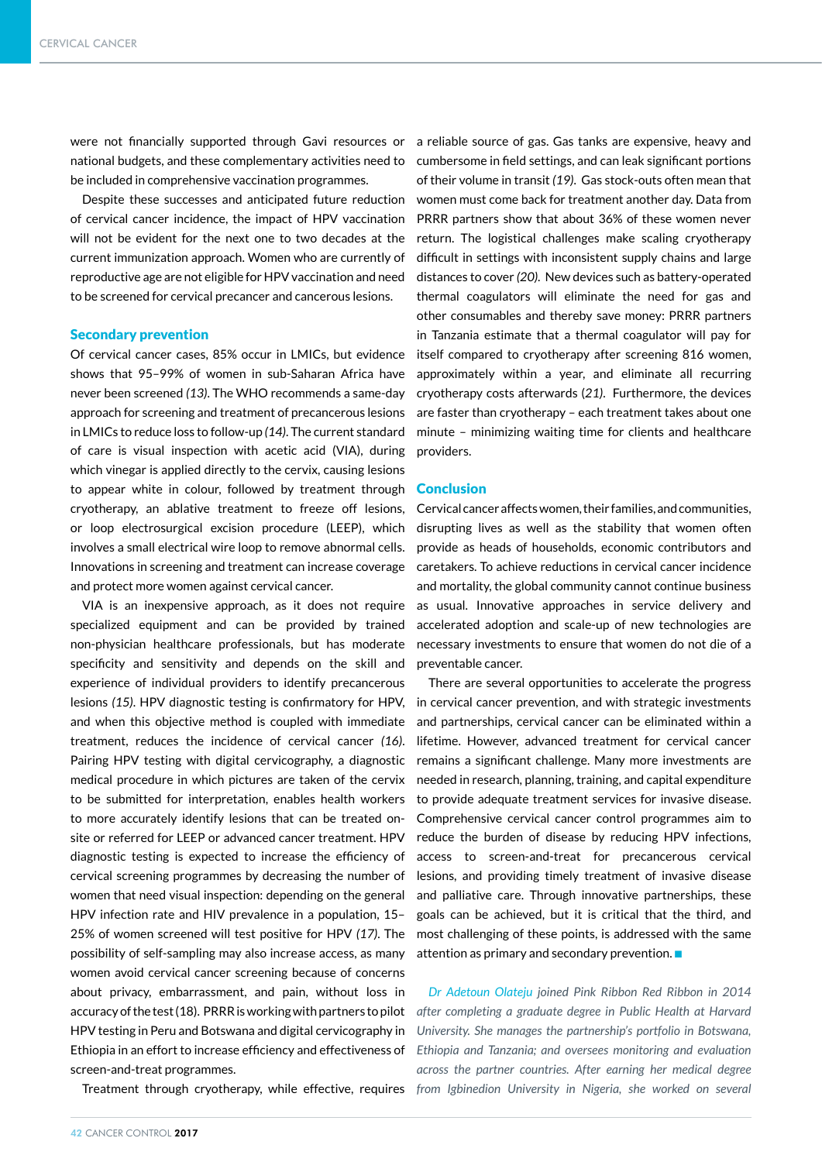be included in comprehensive vaccination programmes.

Despite these successes and anticipated future reduction of cervical cancer incidence, the impact of HPV vaccination will not be evident for the next one to two decades at the current immunization approach. Women who are currently of reproductive age are not eligible for HPV vaccination and need to be screened for cervical precancer and cancerous lesions.

#### Secondary prevention

Of cervical cancer cases, 85% occur in LMICs, but evidence shows that 95–99% of women in sub-Saharan Africa have never been screened *(13)*. The WHO recommends a same-day approach for screening and treatment of precancerous lesions in LMICs to reduce loss to follow-up *(14)*. The current standard of care is visual inspection with acetic acid (VIA), during which vinegar is applied directly to the cervix, causing lesions to appear white in colour, followed by treatment through cryotherapy, an ablative treatment to freeze off lesions, or loop electrosurgical excision procedure (LEEP), which involves a small electrical wire loop to remove abnormal cells. Innovations in screening and treatment can increase coverage and protect more women against cervical cancer.

VIA is an inexpensive approach, as it does not require specialized equipment and can be provided by trained non-physician healthcare professionals, but has moderate specificity and sensitivity and depends on the skill and experience of individual providers to identify precancerous lesions *(15)*. HPV diagnostic testing is confirmatory for HPV, and when this objective method is coupled with immediate treatment, reduces the incidence of cervical cancer *(16)*. Pairing HPV testing with digital cervicography, a diagnostic medical procedure in which pictures are taken of the cervix to be submitted for interpretation, enables health workers to more accurately identify lesions that can be treated onsite or referred for LEEP or advanced cancer treatment. HPV diagnostic testing is expected to increase the efficiency of cervical screening programmes by decreasing the number of women that need visual inspection: depending on the general HPV infection rate and HIV prevalence in a population, 15– 25% of women screened will test positive for HPV *(17)*. The possibility of self-sampling may also increase access, as many women avoid cervical cancer screening because of concerns about privacy, embarrassment, and pain, without loss in accuracy of the test (18). PRRR is working with partners to pilot HPV testing in Peru and Botswana and digital cervicography in Ethiopia in an effort to increase efficiency and effectiveness of screen-and-treat programmes.

Treatment through cryotherapy, while effective, requires

were not financially supported through Gavi resources or a reliable source of gas. Gas tanks are expensive, heavy and national budgets, and these complementary activities need to cumbersome in field settings, and can leak significant portions of their volume in transit *(19)*. Gas stock-outs often mean that women must come back for treatment another day. Data from PRRR partners show that about 36% of these women never return. The logistical challenges make scaling cryotherapy difficult in settings with inconsistent supply chains and large distances to cover *(20)*. New devices such as battery-operated thermal coagulators will eliminate the need for gas and other consumables and thereby save money: PRRR partners in Tanzania estimate that a thermal coagulator will pay for itself compared to cryotherapy after screening 816 women, approximately within a year, and eliminate all recurring cryotherapy costs afterwards (*21)*. Furthermore, the devices are faster than cryotherapy – each treatment takes about one minute – minimizing waiting time for clients and healthcare providers.

### **Conclusion**

Cervical cancer affects women, their families, and communities, disrupting lives as well as the stability that women often provide as heads of households, economic contributors and caretakers. To achieve reductions in cervical cancer incidence and mortality, the global community cannot continue business as usual. Innovative approaches in service delivery and accelerated adoption and scale-up of new technologies are necessary investments to ensure that women do not die of a preventable cancer.

There are several opportunities to accelerate the progress in cervical cancer prevention, and with strategic investments and partnerships, cervical cancer can be eliminated within a lifetime. However, advanced treatment for cervical cancer remains a significant challenge. Many more investments are needed in research, planning, training, and capital expenditure to provide adequate treatment services for invasive disease. Comprehensive cervical cancer control programmes aim to reduce the burden of disease by reducing HPV infections, access to screen-and-treat for precancerous cervical lesions, and providing timely treatment of invasive disease and palliative care. Through innovative partnerships, these goals can be achieved, but it is critical that the third, and most challenging of these points, is addressed with the same attention as primary and secondary prevention.  $\blacksquare$ 

*Dr Adetoun Olateju joined Pink Ribbon Red Ribbon in 2014 after completing a graduate degree in Public Health at Harvard University. She manages the partnership's portfolio in Botswana, Ethiopia and Tanzania; and oversees monitoring and evaluation across the partner countries. After earning her medical degree from Igbinedion University in Nigeria, she worked on several*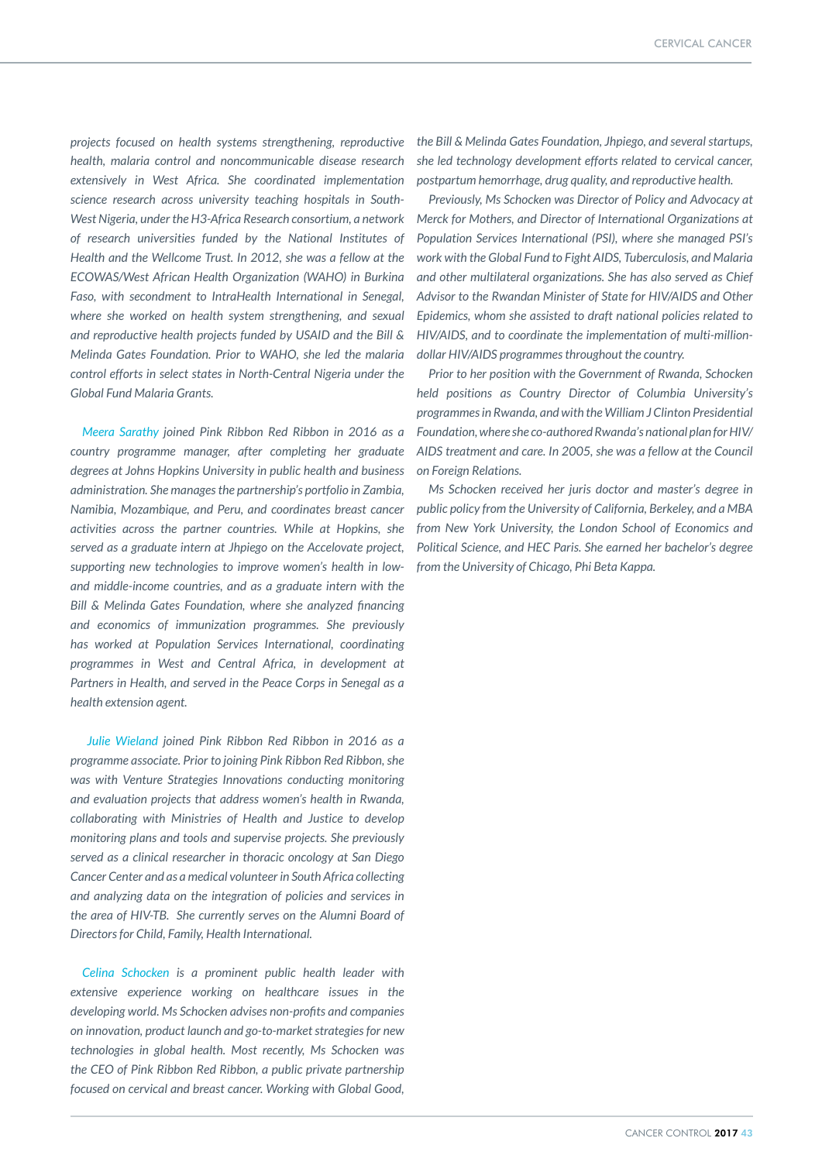*projects focused on health systems strengthening, reproductive health, malaria control and noncommunicable disease research extensively in West Africa. She coordinated implementation science research across university teaching hospitals in South-West Nigeria, under the H3-Africa Research consortium, a network of research universities funded by the National Institutes of Health and the Wellcome Trust. In 2012, she was a fellow at the ECOWAS/West African Health Organization (WAHO) in Burkina Faso, with secondment to IntraHealth International in Senegal, where she worked on health system strengthening, and sexual and reproductive health projects funded by USAID and the Bill & Melinda Gates Foundation. Prior to WAHO, she led the malaria control efforts in select states in North-Central Nigeria under the Global Fund Malaria Grants.*

*Meera Sarathy joined Pink Ribbon Red Ribbon in 2016 as a country programme manager, after completing her graduate degrees at Johns Hopkins University in public health and business administration. She manages the partnership's portfolio in Zambia, Namibia, Mozambique, and Peru, and coordinates breast cancer activities across the partner countries. While at Hopkins, she served as a graduate intern at Jhpiego on the Accelovate project, supporting new technologies to improve women's health in lowand middle-income countries, and as a graduate intern with the Bill & Melinda Gates Foundation, where she analyzed financing and economics of immunization programmes. She previously has worked at Population Services International, coordinating programmes in West and Central Africa, in development at Partners in Health, and served in the Peace Corps in Senegal as a health extension agent.*

 *Julie Wieland joined Pink Ribbon Red Ribbon in 2016 as a programme associate. Prior to joining Pink Ribbon Red Ribbon, she was with Venture Strategies Innovations conducting monitoring and evaluation projects that address women's health in Rwanda, collaborating with Ministries of Health and Justice to develop monitoring plans and tools and supervise projects. She previously served as a clinical researcher in thoracic oncology at San Diego Cancer Center and as a medical volunteer in South Africa collecting and analyzing data on the integration of policies and services in the area of HIV-TB. She currently serves on the Alumni Board of Directors for Child, Family, Health International.* 

*Celina Schocken is a prominent public health leader with extensive experience working on healthcare issues in the developing world. Ms Schocken advises non-profits and companies on innovation, product launch and go-to-market strategies for new technologies in global health. Most recently, Ms Schocken was the CEO of Pink Ribbon Red Ribbon, a public private partnership focused on cervical and breast cancer. Working with Global Good,* 

*the Bill & Melinda Gates Foundation, Jhpiego, and several startups, she led technology development efforts related to cervical cancer, postpartum hemorrhage, drug quality, and reproductive health.* 

*Previously, Ms Schocken was Director of Policy and Advocacy at Merck for Mothers, and Director of International Organizations at Population Services International (PSI), where she managed PSI's work with the Global Fund to Fight AIDS, Tuberculosis, and Malaria and other multilateral organizations. She has also served as Chief Advisor to the Rwandan Minister of State for HIV/AIDS and Other Epidemics, whom she assisted to draft national policies related to HIV/AIDS, and to coordinate the implementation of multi-milliondollar HIV/AIDS programmes throughout the country.*

*Prior to her position with the Government of Rwanda, Schocken held positions as Country Director of Columbia University's programmes in Rwanda, and with the William J Clinton Presidential Foundation, where she co-authored Rwanda's national plan for HIV/ AIDS treatment and care. In 2005, she was a fellow at the Council on Foreign Relations.*

*Ms Schocken received her juris doctor and master's degree in public policy from the University of California, Berkeley, and a MBA from New York University, the London School of Economics and Political Science, and HEC Paris. She earned her bachelor's degree from the University of Chicago, Phi Beta Kappa.*